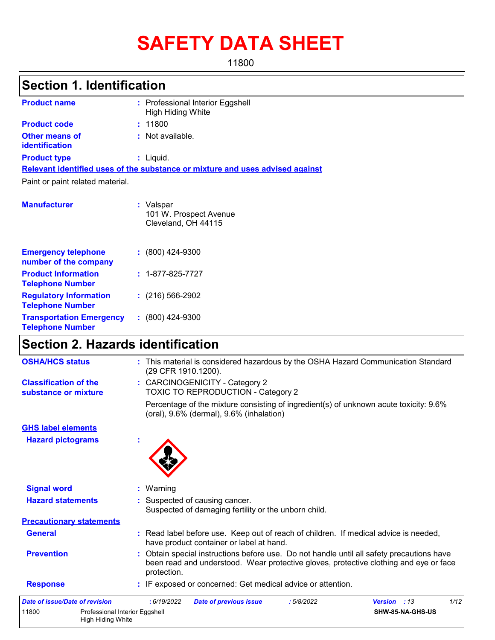# **SAFETY DATA SHEET**

11800

## **Section 1. Identification**

| <b>Product name</b>                     |    | : Professional Interior Eggshell<br><b>High Hiding White</b>                  |
|-----------------------------------------|----|-------------------------------------------------------------------------------|
| <b>Product code</b>                     |    | : 11800                                                                       |
| Other means of<br><b>identification</b> |    | $:$ Not available.                                                            |
| <b>Product type</b>                     |    | $:$ Liquid.                                                                   |
|                                         |    | Relevant identified uses of the substance or mixture and uses advised against |
| Paint or paint related material.        |    |                                                                               |
| <b>Manufacturer</b>                     |    | : Valspar<br>101 W. Prospect Avenue<br>Cleveland, OH 44115                    |
| <b>Emergency telephone</b>              | ÷. | $(800)$ 424-9300                                                              |

| number of the company                                      |                          |
|------------------------------------------------------------|--------------------------|
| <b>Product Information</b><br><b>Telephone Number</b>      | $: 1 - 877 - 825 - 7727$ |
| <b>Regulatory Information</b><br><b>Telephone Number</b>   | $(216)$ 566-2902         |
| <b>Transportation Emergency</b><br><b>Telephone Number</b> | $: (800)$ 424-9300       |

## **Section 2. Hazards identification**

High Hiding White

| 11800<br>Professional Interior Eggshell              | SHW-85-NA-GHS-US                                                                                                                                                                                  |
|------------------------------------------------------|---------------------------------------------------------------------------------------------------------------------------------------------------------------------------------------------------|
| <b>Date of issue/Date of revision</b>                | 1/12<br>: 6/19/2022<br><b>Date of previous issue</b><br><b>Version</b><br>:13<br>:5/8/2022                                                                                                        |
| <b>Response</b>                                      | : IF exposed or concerned: Get medical advice or attention.                                                                                                                                       |
| <b>Prevention</b>                                    | : Obtain special instructions before use. Do not handle until all safety precautions have<br>been read and understood. Wear protective gloves, protective clothing and eye or face<br>protection. |
| <b>General</b>                                       | : Read label before use. Keep out of reach of children. If medical advice is needed,<br>have product container or label at hand.                                                                  |
| <b>Precautionary statements</b>                      |                                                                                                                                                                                                   |
| <b>Hazard statements</b>                             | : Suspected of causing cancer.<br>Suspected of damaging fertility or the unborn child.                                                                                                            |
| <b>Signal word</b>                                   | : Warning                                                                                                                                                                                         |
| <b>Hazard pictograms</b>                             |                                                                                                                                                                                                   |
| <b>GHS label elements</b>                            |                                                                                                                                                                                                   |
|                                                      | Percentage of the mixture consisting of ingredient(s) of unknown acute toxicity: 9.6%<br>(oral), 9.6% (dermal), 9.6% (inhalation)                                                                 |
| <b>Classification of the</b><br>substance or mixture | : CARCINOGENICITY - Category 2<br>TOXIC TO REPRODUCTION - Category 2                                                                                                                              |
| <b>OSHA/HCS status</b>                               | : This material is considered hazardous by the OSHA Hazard Communication Standard<br>(29 CFR 1910.1200).                                                                                          |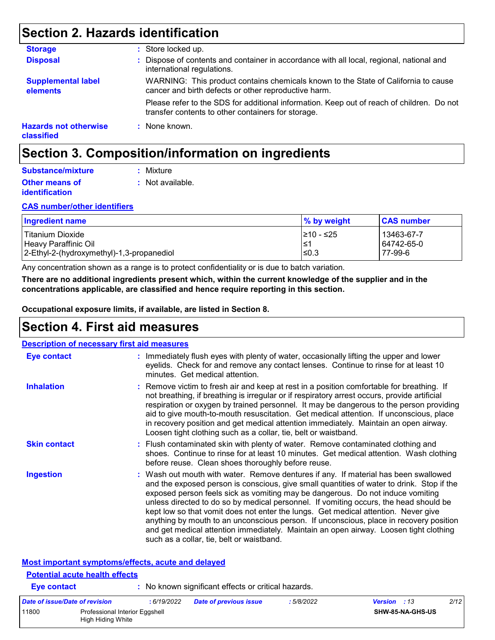## **Section 2. Hazards identification**

| <b>Storage</b>                             | : Store locked up.                                                                                                                              |
|--------------------------------------------|-------------------------------------------------------------------------------------------------------------------------------------------------|
| <b>Disposal</b>                            | : Dispose of contents and container in accordance with all local, regional, national and<br>international regulations.                          |
| <b>Supplemental label</b><br>elements      | WARNING: This product contains chemicals known to the State of California to cause<br>cancer and birth defects or other reproductive harm.      |
|                                            | Please refer to the SDS for additional information. Keep out of reach of children. Do not<br>transfer contents to other containers for storage. |
| <b>Hazards not otherwise</b><br>classified | $:$ None known.                                                                                                                                 |

## **Section 3. Composition/information on ingredients**

| Substance/mixture     | : Mixture        |
|-----------------------|------------------|
| <b>Other means of</b> | : Not available. |
| <b>identification</b> |                  |

#### **CAS number/other identifiers**

| <b>Ingredient name</b>                    | % by weight | <b>CAS number</b> |
|-------------------------------------------|-------------|-------------------|
| l Titanium Dioxide                        | 1≥10 - ≤25  | 13463-67-7        |
| Heavy Paraffinic Oil                      | 1≤1         | 64742-65-0        |
| 2-Ethyl-2-(hydroxymethyl)-1,3-propanediol | $≤0.3$      | 77-99-6           |

Any concentration shown as a range is to protect confidentiality or is due to batch variation.

**There are no additional ingredients present which, within the current knowledge of the supplier and in the concentrations applicable, are classified and hence require reporting in this section.**

**Occupational exposure limits, if available, are listed in Section 8.**

### **Section 4. First aid measures**

| <b>Description of necessary first aid measures</b>                                          |                                                                                                                                                                                                                                                                                                                                                                                                                                                                                                                                                                                                                                                                                   |
|---------------------------------------------------------------------------------------------|-----------------------------------------------------------------------------------------------------------------------------------------------------------------------------------------------------------------------------------------------------------------------------------------------------------------------------------------------------------------------------------------------------------------------------------------------------------------------------------------------------------------------------------------------------------------------------------------------------------------------------------------------------------------------------------|
| <b>Eye contact</b>                                                                          | : Immediately flush eyes with plenty of water, occasionally lifting the upper and lower<br>eyelids. Check for and remove any contact lenses. Continue to rinse for at least 10<br>minutes. Get medical attention.                                                                                                                                                                                                                                                                                                                                                                                                                                                                 |
| <b>Inhalation</b>                                                                           | : Remove victim to fresh air and keep at rest in a position comfortable for breathing. If<br>not breathing, if breathing is irregular or if respiratory arrest occurs, provide artificial<br>respiration or oxygen by trained personnel. It may be dangerous to the person providing<br>aid to give mouth-to-mouth resuscitation. Get medical attention. If unconscious, place<br>in recovery position and get medical attention immediately. Maintain an open airway.<br>Loosen tight clothing such as a collar, tie, belt or waistband.                                                                                                                                         |
| <b>Skin contact</b>                                                                         | : Flush contaminated skin with plenty of water. Remove contaminated clothing and<br>shoes. Continue to rinse for at least 10 minutes. Get medical attention. Wash clothing<br>before reuse. Clean shoes thoroughly before reuse.                                                                                                                                                                                                                                                                                                                                                                                                                                                  |
| <b>Ingestion</b>                                                                            | : Wash out mouth with water. Remove dentures if any. If material has been swallowed<br>and the exposed person is conscious, give small quantities of water to drink. Stop if the<br>exposed person feels sick as vomiting may be dangerous. Do not induce vomiting<br>unless directed to do so by medical personnel. If vomiting occurs, the head should be<br>kept low so that vomit does not enter the lungs. Get medical attention. Never give<br>anything by mouth to an unconscious person. If unconscious, place in recovery position<br>and get medical attention immediately. Maintain an open airway. Loosen tight clothing<br>such as a collar, tie, belt or waistband. |
| Most important symptoms/effects, acute and delayed<br><b>Potential acute health effects</b> |                                                                                                                                                                                                                                                                                                                                                                                                                                                                                                                                                                                                                                                                                   |
| <b>Eye contact</b>                                                                          | : No known significant effects or critical hazards.                                                                                                                                                                                                                                                                                                                                                                                                                                                                                                                                                                                                                               |
| . <i>. .</i>                                                                                | $\sim$<br>$\cdots$<br>F/20/20.22                                                                                                                                                                                                                                                                                                                                                                                                                                                                                                                                                                                                                                                  |

| Date of issue/Date of revision |                                                     | : 6/19/2022 | <b>Date of previous issue</b> | 5/8/2022 | <b>Version</b> : 13 |                  | 2/12 |
|--------------------------------|-----------------------------------------------------|-------------|-------------------------------|----------|---------------------|------------------|------|
| 11800                          | Professional Interior Eggshell<br>High Hiding White |             |                               |          |                     | SHW-85-NA-GHS-US |      |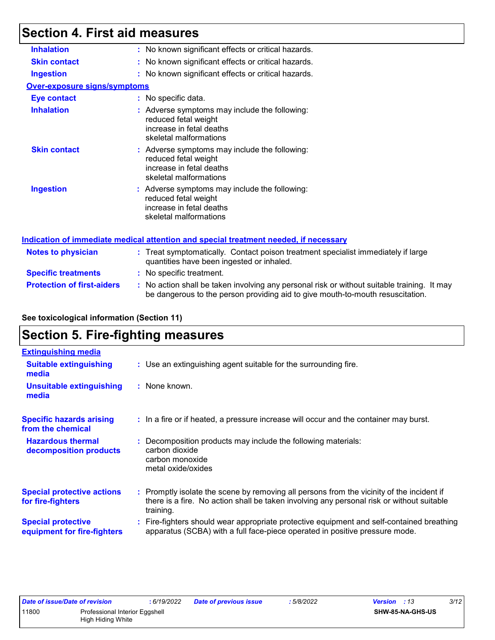## **Section 4. First aid measures**

| <b>Inhalation</b>                   | : No known significant effects or critical hazards.                                                                                                                           |
|-------------------------------------|-------------------------------------------------------------------------------------------------------------------------------------------------------------------------------|
| <b>Skin contact</b>                 | : No known significant effects or critical hazards.                                                                                                                           |
| <b>Ingestion</b>                    | : No known significant effects or critical hazards.                                                                                                                           |
| <b>Over-exposure signs/symptoms</b> |                                                                                                                                                                               |
| <b>Eye contact</b>                  | : No specific data.                                                                                                                                                           |
| <b>Inhalation</b>                   | : Adverse symptoms may include the following:<br>reduced fetal weight<br>increase in fetal deaths<br>skeletal malformations                                                   |
| <b>Skin contact</b>                 | : Adverse symptoms may include the following:<br>reduced fetal weight<br>increase in fetal deaths<br>skeletal malformations                                                   |
| <b>Ingestion</b>                    | : Adverse symptoms may include the following:<br>reduced fetal weight<br>increase in fetal deaths<br>skeletal malformations                                                   |
|                                     | Indication of immediate medical attention and special treatment needed, if necessary                                                                                          |
| <b>Notes to physician</b>           | : Treat symptomatically. Contact poison treatment specialist immediately if large<br>quantities have been ingested or inhaled.                                                |
| <b>Specific treatments</b>          | : No specific treatment.                                                                                                                                                      |
| <b>Protection of first-aiders</b>   | : No action shall be taken involving any personal risk or without suitable training. It may<br>be dangerous to the person providing aid to give mouth-to-mouth resuscitation. |

#### **See toxicological information (Section 11)**

## **Section 5. Fire-fighting measures**

| <b>Extinguishing media</b>                               |                                                                                                                                                                                                     |
|----------------------------------------------------------|-----------------------------------------------------------------------------------------------------------------------------------------------------------------------------------------------------|
| <b>Suitable extinguishing</b><br>media                   | : Use an extinguishing agent suitable for the surrounding fire.                                                                                                                                     |
| <b>Unsuitable extinguishing</b><br>media                 | : None known.                                                                                                                                                                                       |
| <b>Specific hazards arising</b><br>from the chemical     | : In a fire or if heated, a pressure increase will occur and the container may burst.                                                                                                               |
| <b>Hazardous thermal</b><br>decomposition products       | Decomposition products may include the following materials:<br>carbon dioxide<br>carbon monoxide<br>metal oxide/oxides                                                                              |
| <b>Special protective actions</b><br>for fire-fighters   | : Promptly isolate the scene by removing all persons from the vicinity of the incident if<br>there is a fire. No action shall be taken involving any personal risk or without suitable<br>training. |
| <b>Special protective</b><br>equipment for fire-fighters | Fire-fighters should wear appropriate protective equipment and self-contained breathing<br>apparatus (SCBA) with a full face-piece operated in positive pressure mode.                              |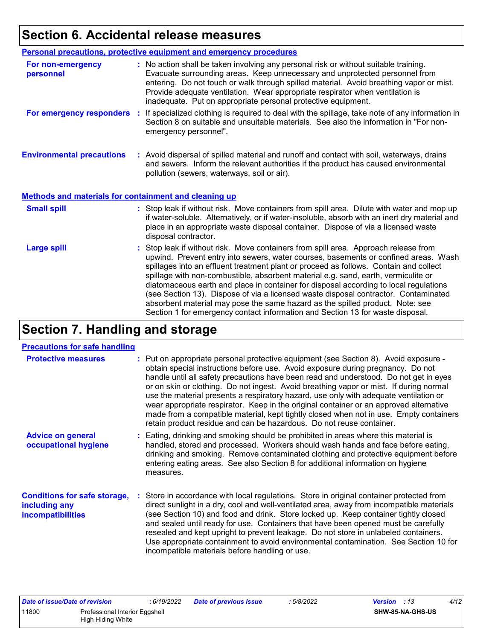## **Section 6. Accidental release measures**

|                                                              | Personal precautions, protective equipment and emergency procedures                                                                                                                                                                                                                                                                                                                                                                                                                                                                                                                                                                                                                                          |
|--------------------------------------------------------------|--------------------------------------------------------------------------------------------------------------------------------------------------------------------------------------------------------------------------------------------------------------------------------------------------------------------------------------------------------------------------------------------------------------------------------------------------------------------------------------------------------------------------------------------------------------------------------------------------------------------------------------------------------------------------------------------------------------|
| For non-emergency<br>personnel                               | : No action shall be taken involving any personal risk or without suitable training.<br>Evacuate surrounding areas. Keep unnecessary and unprotected personnel from<br>entering. Do not touch or walk through spilled material. Avoid breathing vapor or mist.<br>Provide adequate ventilation. Wear appropriate respirator when ventilation is<br>inadequate. Put on appropriate personal protective equipment.                                                                                                                                                                                                                                                                                             |
| For emergency responders                                     | If specialized clothing is required to deal with the spillage, take note of any information in<br>÷.<br>Section 8 on suitable and unsuitable materials. See also the information in "For non-<br>emergency personnel".                                                                                                                                                                                                                                                                                                                                                                                                                                                                                       |
| <b>Environmental precautions</b>                             | : Avoid dispersal of spilled material and runoff and contact with soil, waterways, drains<br>and sewers. Inform the relevant authorities if the product has caused environmental<br>pollution (sewers, waterways, soil or air).                                                                                                                                                                                                                                                                                                                                                                                                                                                                              |
| <b>Methods and materials for containment and cleaning up</b> |                                                                                                                                                                                                                                                                                                                                                                                                                                                                                                                                                                                                                                                                                                              |
| <b>Small spill</b>                                           | : Stop leak if without risk. Move containers from spill area. Dilute with water and mop up<br>if water-soluble. Alternatively, or if water-insoluble, absorb with an inert dry material and<br>place in an appropriate waste disposal container. Dispose of via a licensed waste<br>disposal contractor.                                                                                                                                                                                                                                                                                                                                                                                                     |
| <b>Large spill</b>                                           | : Stop leak if without risk. Move containers from spill area. Approach release from<br>upwind. Prevent entry into sewers, water courses, basements or confined areas. Wash<br>spillages into an effluent treatment plant or proceed as follows. Contain and collect<br>spillage with non-combustible, absorbent material e.g. sand, earth, vermiculite or<br>diatomaceous earth and place in container for disposal according to local regulations<br>(see Section 13). Dispose of via a licensed waste disposal contractor. Contaminated<br>absorbent material may pose the same hazard as the spilled product. Note: see<br>Section 1 for emergency contact information and Section 13 for waste disposal. |

## **Section 7. Handling and storage**

#### **Precautions for safe handling**

| <b>Protective measures</b>                                                       | : Put on appropriate personal protective equipment (see Section 8). Avoid exposure -                                                                                                                                                                                                                                                                                                                                                                                                                                                                                                                                    |
|----------------------------------------------------------------------------------|-------------------------------------------------------------------------------------------------------------------------------------------------------------------------------------------------------------------------------------------------------------------------------------------------------------------------------------------------------------------------------------------------------------------------------------------------------------------------------------------------------------------------------------------------------------------------------------------------------------------------|
|                                                                                  | obtain special instructions before use. Avoid exposure during pregnancy. Do not<br>handle until all safety precautions have been read and understood. Do not get in eyes<br>or on skin or clothing. Do not ingest. Avoid breathing vapor or mist. If during normal<br>use the material presents a respiratory hazard, use only with adequate ventilation or<br>wear appropriate respirator. Keep in the original container or an approved alternative<br>made from a compatible material, kept tightly closed when not in use. Empty containers<br>retain product residue and can be hazardous. Do not reuse container. |
| <b>Advice on general</b><br>occupational hygiene                                 | : Eating, drinking and smoking should be prohibited in areas where this material is<br>handled, stored and processed. Workers should wash hands and face before eating,<br>drinking and smoking. Remove contaminated clothing and protective equipment before<br>entering eating areas. See also Section 8 for additional information on hygiene<br>measures.                                                                                                                                                                                                                                                           |
| <b>Conditions for safe storage,</b><br>including any<br><i>incompatibilities</i> | : Store in accordance with local regulations. Store in original container protected from<br>direct sunlight in a dry, cool and well-ventilated area, away from incompatible materials<br>(see Section 10) and food and drink. Store locked up. Keep container tightly closed<br>and sealed until ready for use. Containers that have been opened must be carefully<br>resealed and kept upright to prevent leakage. Do not store in unlabeled containers.<br>Use appropriate containment to avoid environmental contamination. See Section 10 for<br>incompatible materials before handling or use.                     |

| Date of issue/Date of revision |                                | : 6/19/2022 | Date of previous issue | 5/8/2022 | <b>Version</b> : 13 | 4/12 |
|--------------------------------|--------------------------------|-------------|------------------------|----------|---------------------|------|
| 11800                          | Professional Interior Eggshell |             |                        |          | SHW-85-NA-GHS-US    |      |
|                                | High Hiding White              |             |                        |          |                     |      |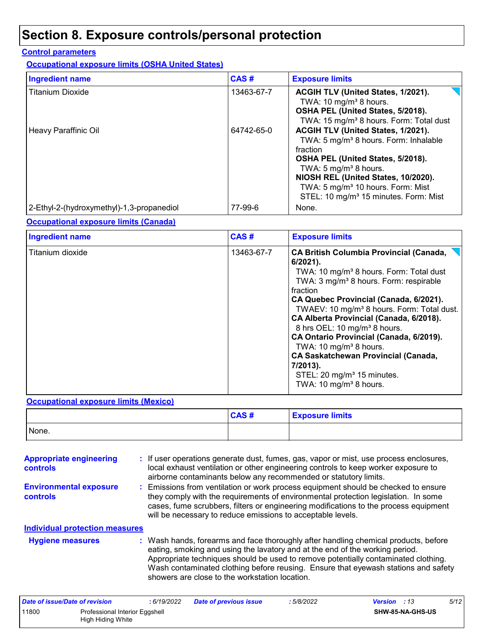## **Section 8. Exposure controls/personal protection**

#### **Control parameters**

**Occupational exposure limits (OSHA United States)**

| <b>Ingredient name</b>                    | CAS#       | <b>Exposure limits</b>                                                                                                                                                                                                                                                                                                     |
|-------------------------------------------|------------|----------------------------------------------------------------------------------------------------------------------------------------------------------------------------------------------------------------------------------------------------------------------------------------------------------------------------|
| <b>Titanium Dioxide</b>                   | 13463-67-7 | ACGIH TLV (United States, 1/2021).<br>TWA: 10 mg/m <sup>3</sup> 8 hours.<br>OSHA PEL (United States, 5/2018).<br>TWA: 15 mg/m <sup>3</sup> 8 hours. Form: Total dust                                                                                                                                                       |
| Heavy Paraffinic Oil                      | 64742-65-0 | ACGIH TLV (United States, 1/2021).<br>TWA: 5 mg/m <sup>3</sup> 8 hours. Form: Inhalable<br>fraction<br>OSHA PEL (United States, 5/2018).<br>TWA: 5 mg/m <sup>3</sup> 8 hours.<br>NIOSH REL (United States, 10/2020).<br>TWA: 5 mg/m <sup>3</sup> 10 hours. Form: Mist<br>STEL: 10 mg/m <sup>3</sup> 15 minutes. Form: Mist |
| 2-Ethyl-2-(hydroxymethyl)-1,3-propanediol | 77-99-6    | None.                                                                                                                                                                                                                                                                                                                      |

#### **Occupational exposure limits (Canada)**

| <b>Ingredient name</b> | CAS#       | <b>Exposure limits</b>                                                                                                                                                                                                                                                                                                                                                                                                                                                                                                                                                                                       |
|------------------------|------------|--------------------------------------------------------------------------------------------------------------------------------------------------------------------------------------------------------------------------------------------------------------------------------------------------------------------------------------------------------------------------------------------------------------------------------------------------------------------------------------------------------------------------------------------------------------------------------------------------------------|
| Titanium dioxide       | 13463-67-7 | <b>CA British Columbia Provincial (Canada,</b><br>$6/2021$ ).<br>TWA: 10 mg/m <sup>3</sup> 8 hours. Form: Total dust<br>TWA: 3 mg/m <sup>3</sup> 8 hours. Form: respirable<br>fraction<br>CA Quebec Provincial (Canada, 6/2021).<br>TWAEV: 10 mg/m <sup>3</sup> 8 hours. Form: Total dust.<br>CA Alberta Provincial (Canada, 6/2018).<br>8 hrs OEL: 10 mg/m <sup>3</sup> 8 hours.<br>CA Ontario Provincial (Canada, 6/2019).<br>TWA: 10 mg/m <sup>3</sup> 8 hours.<br><b>CA Saskatchewan Provincial (Canada,</b><br>7/2013).<br>STEL: 20 mg/m <sup>3</sup> 15 minutes.<br>TWA: 10 mg/m <sup>3</sup> 8 hours. |

#### **Occupational exposure limits (Mexico)**

|       | CAS# | <b>Exposure limits</b> |
|-------|------|------------------------|
| None. |      |                        |

| <b>Appropriate engineering</b><br>controls |  | : If user operations generate dust, fumes, gas, vapor or mist, use process enclosures,<br>local exhaust ventilation or other engineering controls to keep worker exposure to<br>airborne contaminants below any recommended or statutory limits.                                                                                                                                                  |
|--------------------------------------------|--|---------------------------------------------------------------------------------------------------------------------------------------------------------------------------------------------------------------------------------------------------------------------------------------------------------------------------------------------------------------------------------------------------|
| <b>Environmental exposure</b><br>controls  |  | : Emissions from ventilation or work process equipment should be checked to ensure<br>they comply with the requirements of environmental protection legislation. In some<br>cases, fume scrubbers, filters or engineering modifications to the process equipment<br>will be necessary to reduce emissions to acceptable levels.                                                                   |
| <b>Individual protection measures</b>      |  |                                                                                                                                                                                                                                                                                                                                                                                                   |
| <b>Hygiene measures</b>                    |  | : Wash hands, forearms and face thoroughly after handling chemical products, before<br>eating, smoking and using the lavatory and at the end of the working period.<br>Appropriate techniques should be used to remove potentially contaminated clothing.<br>Wash contaminated clothing before reusing. Ensure that eyewash stations and safety<br>showers are close to the workstation location. |

| Date of issue/Date of revision |                                                     | : 6/19/2022 | <b>Date of previous issue</b> | : 5/8/2022 | <b>Version</b> : 13 |                         | 5/12 |
|--------------------------------|-----------------------------------------------------|-------------|-------------------------------|------------|---------------------|-------------------------|------|
| 11800                          | Professional Interior Eggshell<br>High Hiding White |             |                               |            |                     | <b>SHW-85-NA-GHS-US</b> |      |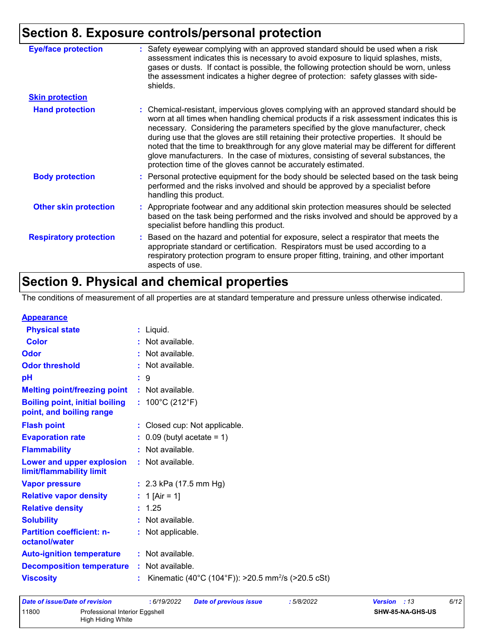## **Section 8. Exposure controls/personal protection**

| <b>Eye/face protection</b>    | : Safety eyewear complying with an approved standard should be used when a risk<br>assessment indicates this is necessary to avoid exposure to liquid splashes, mists,<br>gases or dusts. If contact is possible, the following protection should be worn, unless<br>the assessment indicates a higher degree of protection: safety glasses with side-<br>shields.                                                                                                                                                                                                                                                     |
|-------------------------------|------------------------------------------------------------------------------------------------------------------------------------------------------------------------------------------------------------------------------------------------------------------------------------------------------------------------------------------------------------------------------------------------------------------------------------------------------------------------------------------------------------------------------------------------------------------------------------------------------------------------|
| <b>Skin protection</b>        |                                                                                                                                                                                                                                                                                                                                                                                                                                                                                                                                                                                                                        |
| <b>Hand protection</b>        | : Chemical-resistant, impervious gloves complying with an approved standard should be<br>worn at all times when handling chemical products if a risk assessment indicates this is<br>necessary. Considering the parameters specified by the glove manufacturer, check<br>during use that the gloves are still retaining their protective properties. It should be<br>noted that the time to breakthrough for any glove material may be different for different<br>glove manufacturers. In the case of mixtures, consisting of several substances, the<br>protection time of the gloves cannot be accurately estimated. |
| <b>Body protection</b>        | : Personal protective equipment for the body should be selected based on the task being<br>performed and the risks involved and should be approved by a specialist before<br>handling this product.                                                                                                                                                                                                                                                                                                                                                                                                                    |
| <b>Other skin protection</b>  | : Appropriate footwear and any additional skin protection measures should be selected<br>based on the task being performed and the risks involved and should be approved by a<br>specialist before handling this product.                                                                                                                                                                                                                                                                                                                                                                                              |
| <b>Respiratory protection</b> | Based on the hazard and potential for exposure, select a respirator that meets the<br>appropriate standard or certification. Respirators must be used according to a<br>respiratory protection program to ensure proper fitting, training, and other important<br>aspects of use.                                                                                                                                                                                                                                                                                                                                      |

## **Section 9. Physical and chemical properties**

The conditions of measurement of all properties are at standard temperature and pressure unless otherwise indicated.

| <b>Appearance</b> |
|-------------------|
|-------------------|

| <u>Appourance</u>                                                 |                                                                |
|-------------------------------------------------------------------|----------------------------------------------------------------|
| <b>Physical state</b>                                             | $:$ Liquid.                                                    |
| <b>Color</b>                                                      | $:$ Not available.                                             |
| Odor                                                              | : Not available.                                               |
| <b>Odor threshold</b>                                             | : Not available.                                               |
| pH                                                                | $\mathbf{.}9$                                                  |
| <b>Melting point/freezing point</b>                               | : Not available.                                               |
| <b>Boiling point, initial boiling</b><br>point, and boiling range | : $100^{\circ}$ C (212 $^{\circ}$ F)                           |
| <b>Flash point</b>                                                | : Closed cup: Not applicable.                                  |
| <b>Evaporation rate</b>                                           | $\therefore$ 0.09 (butyl acetate = 1)                          |
| <b>Flammability</b>                                               | : Not available.                                               |
| Lower and upper explosion<br>limit/flammability limit             | : Not available.                                               |
| <b>Vapor pressure</b>                                             | : $2.3$ kPa (17.5 mm Hg)                                       |
| <b>Relative vapor density</b>                                     | : 1 [Air = 1]                                                  |
| <b>Relative density</b>                                           | : 1.25                                                         |
| <b>Solubility</b>                                                 | : Not available.                                               |
| <b>Partition coefficient: n-</b><br>octanol/water                 | : Not applicable.                                              |
| <b>Auto-ignition temperature</b>                                  | : Not available.                                               |
| <b>Decomposition temperature</b>                                  | : Not available.                                               |
| <b>Viscosity</b>                                                  | Kinematic (40°C (104°F)): >20.5 mm <sup>2</sup> /s (>20.5 cSt) |
|                                                                   |                                                                |

| Date of issue/Date of revision |                                                     | : 6/19/2022 | Date of previous issue | : 5/8/2022 | 6/12<br><b>Version</b> : 13 |
|--------------------------------|-----------------------------------------------------|-------------|------------------------|------------|-----------------------------|
| 11800                          | Professional Interior Eggshell<br>High Hiding White |             |                        |            | <b>SHW-85-NA-GHS-US</b>     |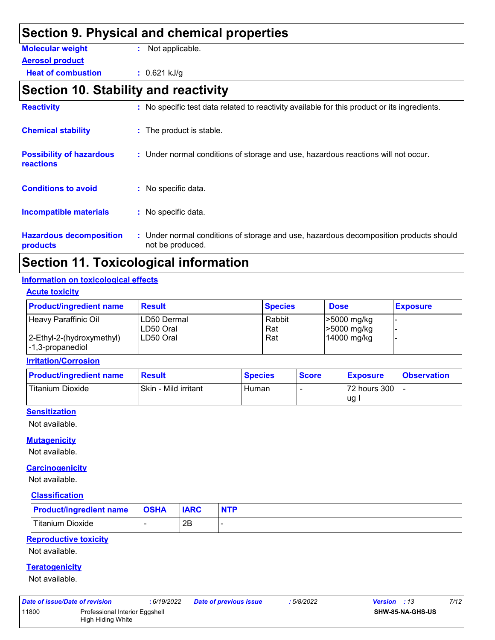| Section 9. Physical and chemical properties         |                                                                                              |  |  |  |  |  |
|-----------------------------------------------------|----------------------------------------------------------------------------------------------|--|--|--|--|--|
| <b>Molecular weight</b>                             | : Not applicable.                                                                            |  |  |  |  |  |
| <b>Aerosol product</b>                              |                                                                                              |  |  |  |  |  |
| <b>Heat of combustion</b>                           | $: 0.621$ kJ/g                                                                               |  |  |  |  |  |
| Section 10. Stability and reactivity                |                                                                                              |  |  |  |  |  |
| <b>Reactivity</b>                                   | : No specific test data related to reactivity available for this product or its ingredients. |  |  |  |  |  |
| <b>Chemical stability</b>                           | : The product is stable.                                                                     |  |  |  |  |  |
| <b>Possibility of hazardous</b><br><b>reactions</b> | : Under normal conditions of storage and use, hazardous reactions will not occur.            |  |  |  |  |  |
| <b>Conditions to avoid</b>                          | : No specific data.                                                                          |  |  |  |  |  |
| <b>Incompatible materials</b>                       | : No specific data.                                                                          |  |  |  |  |  |
| <b>Hazardous decomposition</b>                      | : Under normal conditions of storage and use, hazardous decomposition products should        |  |  |  |  |  |

**products**

Under normal conditions of storage and use, hazardous decomposition products should **:** not be produced.

## **Section 11. Toxicological information**

#### **Information on toxicological effects**

| <b>Acute toxicity</b> |  |
|-----------------------|--|
|                       |  |

| <b>Product/ingredient name</b>                    | <b>Result</b>             | <b>Species</b> | <b>Dose</b>                | <b>Exposure</b> |
|---------------------------------------------------|---------------------------|----------------|----------------------------|-----------------|
| Heavy Paraffinic Oil                              | LD50 Dermal<br>ILD50 Oral | Rabbit<br>Rat  | >5000 mg/kg<br>>5000 mg/kg |                 |
| 2-Ethyl-2-(hydroxymethyl)<br>$ -1,3$ -propanediol | ILD50 Oral                | Rat            | 14000 mg/kg                |                 |

**Irritation/Corrosion**

| <b>Product/ingredient name</b> | Result               | <b>Species</b> | <b>Score</b> | <b>Exposure</b> | <b>Observation</b> |
|--------------------------------|----------------------|----------------|--------------|-----------------|--------------------|
| <b>Titanium Dioxide</b>        | Skin - Mild irritant | Human          |              | 72 hours 300    |                    |
|                                |                      |                |              | lug.            |                    |

#### **Sensitization**

Not available.

#### **Mutagenicity**

Not available.

#### **Carcinogenicity**

Not available.

#### **Classification**

| <b>Product/ingredient name</b> | <b>OSHA</b> | <b>IARC</b> | <b>NTP</b> |
|--------------------------------|-------------|-------------|------------|
| Titanium Dioxide               |             | 2B          |            |

#### **Reproductive toxicity**

Not available.

#### **Teratogenicity**

Not available.

| Date of issue/Date of revision |                                | : 6/19/2022 | <b>Date of previous issue</b> | 5/8/2022 | <b>Version</b> : 13     | 7/12 |
|--------------------------------|--------------------------------|-------------|-------------------------------|----------|-------------------------|------|
| 11800                          | Professional Interior Eggshell |             |                               |          | <b>SHW-85-NA-GHS-US</b> |      |
|                                | High Hiding White              |             |                               |          |                         |      |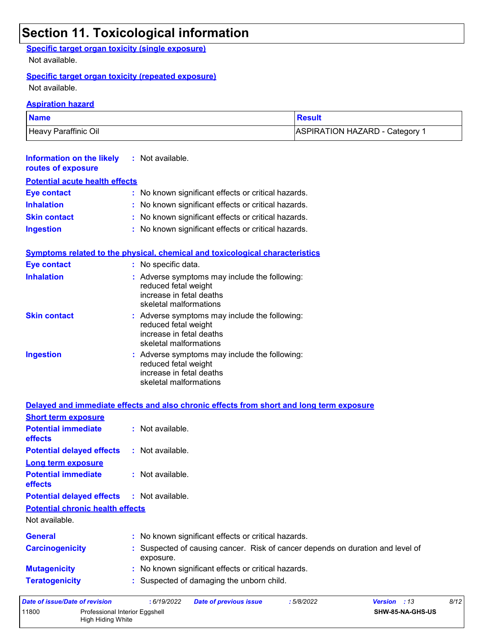## **Section 11. Toxicological information**

#### **Specific target organ toxicity (single exposure)**

Not available.

#### **Specific target organ toxicity (repeated exposure)**

High Hiding White

Not available.

#### **Aspiration hazard**

| <b>Name</b>          | <b>Result</b>                             |
|----------------------|-------------------------------------------|
| Heavy Paraffinic Oil | ASPIRATION HAZARD - Category <sup>1</sup> |

| <b>Information on the likely</b> : Not available.<br>routes of exposure |                                                     |
|-------------------------------------------------------------------------|-----------------------------------------------------|
| <b>Potential acute health effects</b>                                   |                                                     |
| <b>Eye contact</b>                                                      | : No known significant effects or critical hazards. |
| <b>Inhalation</b>                                                       | : No known significant effects or critical hazards. |
| <b>Skin contact</b>                                                     | : No known significant effects or critical hazards. |
| <b>Ingestion</b>                                                        | : No known significant effects or critical hazards. |

#### **Symptoms related to the physical, chemical and toxicological characteristics**

| Eye contact         | : No specific data.                                                                                                         |
|---------------------|-----------------------------------------------------------------------------------------------------------------------------|
| <b>Inhalation</b>   | : Adverse symptoms may include the following:<br>reduced fetal weight<br>increase in fetal deaths<br>skeletal malformations |
| <b>Skin contact</b> | : Adverse symptoms may include the following:<br>reduced fetal weight<br>increase in fetal deaths<br>skeletal malformations |
| <b>Ingestion</b>    | : Adverse symptoms may include the following:<br>reduced fetal weight<br>increase in fetal deaths<br>skeletal malformations |

|                                              | Delayed and immediate effects and also chronic effects from short and long term exposure    |                             |
|----------------------------------------------|---------------------------------------------------------------------------------------------|-----------------------------|
| <b>Short term exposure</b>                   |                                                                                             |                             |
| <b>Potential immediate</b><br><b>effects</b> | $:$ Not available.                                                                          |                             |
| <b>Potential delayed effects</b>             | $:$ Not available.                                                                          |                             |
| Long term exposure                           |                                                                                             |                             |
| <b>Potential immediate</b><br><b>effects</b> | : Not available.                                                                            |                             |
| Potential delayed effects : Not available.   |                                                                                             |                             |
| <b>Potential chronic health effects</b>      |                                                                                             |                             |
| Not available.                               |                                                                                             |                             |
| <b>General</b>                               | : No known significant effects or critical hazards.                                         |                             |
| <b>Carcinogenicity</b>                       | : Suspected of causing cancer. Risk of cancer depends on duration and level of<br>exposure. |                             |
| <b>Mutagenicity</b>                          | : No known significant effects or critical hazards.                                         |                             |
| <b>Teratogenicity</b>                        | : Suspected of damaging the unborn child.                                                   |                             |
| Date of issue/Date of revision               | : 6/19/2022<br><b>Date of previous issue</b><br>:5/8/2022                                   | 8/12<br><b>Version</b> : 13 |
| 11800<br>Professional Interior Eggshell      |                                                                                             | SHW-85-NA-GHS-US            |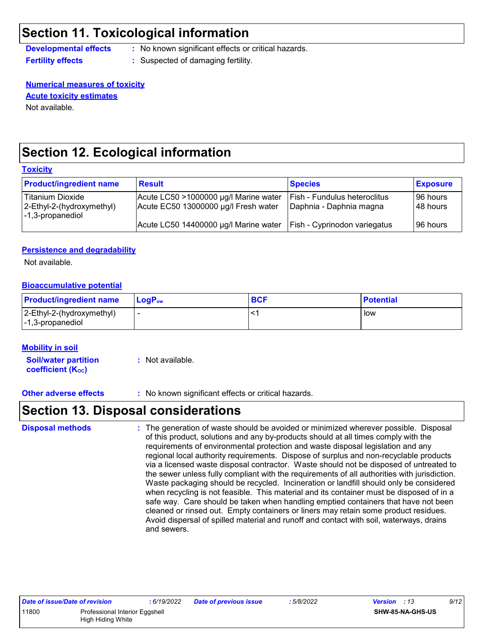## **Section 11. Toxicological information**

**Developmental effects :** No known significant effects or critical hazards.

**Fertility effects** : Suspected of damaging fertility.

**Numerical measures of toxicity** Not available. **Acute toxicity estimates**

## **Section 12. Ecological information**

#### **Toxicity**

| <b>Product/ingredient name</b>                                    | <b>Result</b>                                                                 | <b>Species</b>                                                 | <b>Exposure</b>          |
|-------------------------------------------------------------------|-------------------------------------------------------------------------------|----------------------------------------------------------------|--------------------------|
| Titanium Dioxide<br>2-Ethyl-2-(hydroxymethyl)<br>-1,3-propanediol | Acute LC50 >1000000 µg/l Marine water<br>Acute EC50 13000000 µg/l Fresh water | <b>Fish - Fundulus heteroclitus</b><br>Daphnia - Daphnia magna | l 96 hours<br>l 48 hours |
|                                                                   | Acute LC50 14400000 µg/l Marine water                                         | <b>Fish - Cyprinodon variegatus</b>                            | 96 hours                 |

#### **Persistence and degradability**

Not available.

#### **Bioaccumulative potential**

| <b>Product/ingredient name</b>                                        | LogP <sub>ow</sub> | <b>BCF</b> | <b>Potential</b> |
|-----------------------------------------------------------------------|--------------------|------------|------------------|
| 2-Ethyl-2-(hydroxymethyl)<br>$\left  -1, 3\text{-propanediol}\right $ | -                  |            | low              |

#### **Mobility in soil**

**Soil/water partition coefficient (KOC)**

**:** Not available.

**Other adverse effects :** No known significant effects or critical hazards.

## **Section 13. Disposal considerations**

The generation of waste should be avoided or minimized wherever possible. Disposal of this product, solutions and any by-products should at all times comply with the requirements of environmental protection and waste disposal legislation and any regional local authority requirements. Dispose of surplus and non-recyclable products via a licensed waste disposal contractor. Waste should not be disposed of untreated to the sewer unless fully compliant with the requirements of all authorities with jurisdiction. Waste packaging should be recycled. Incineration or landfill should only be considered when recycling is not feasible. This material and its container must be disposed of in a safe way. Care should be taken when handling emptied containers that have not been cleaned or rinsed out. Empty containers or liners may retain some product residues. Avoid dispersal of spilled material and runoff and contact with soil, waterways, drains and sewers. **Disposal methods :**

| Date of issue/Date of revision |                                | : 6/19/2022 | Date of previous issue | : 5/8/2022 | <b>Version</b> : 13     | 9/12 |
|--------------------------------|--------------------------------|-------------|------------------------|------------|-------------------------|------|
| 11800                          | Professional Interior Eggshell |             |                        |            | <b>SHW-85-NA-GHS-US</b> |      |
|                                | High Hiding White              |             |                        |            |                         |      |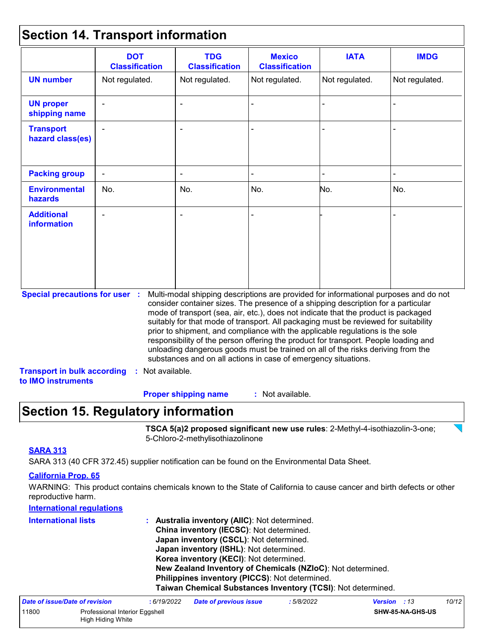### **Section 14. Transport information**

|                                                                                                   | <b>DOT</b><br><b>Classification</b> | <b>TDG</b><br><b>Classification</b>                            | <b>Mexico</b><br><b>Classification</b> | <b>IATA</b>                                                                                                                                                                                                                                                                                                                                                                                                                                                                                                                                                                                                       | <b>IMDG</b>    |
|---------------------------------------------------------------------------------------------------|-------------------------------------|----------------------------------------------------------------|----------------------------------------|-------------------------------------------------------------------------------------------------------------------------------------------------------------------------------------------------------------------------------------------------------------------------------------------------------------------------------------------------------------------------------------------------------------------------------------------------------------------------------------------------------------------------------------------------------------------------------------------------------------------|----------------|
| <b>UN number</b>                                                                                  | Not regulated.                      | Not regulated.                                                 | Not regulated.                         | Not regulated.                                                                                                                                                                                                                                                                                                                                                                                                                                                                                                                                                                                                    | Not regulated. |
| <b>UN proper</b><br>shipping name                                                                 |                                     |                                                                |                                        |                                                                                                                                                                                                                                                                                                                                                                                                                                                                                                                                                                                                                   |                |
| <b>Transport</b><br>hazard class(es)                                                              |                                     |                                                                |                                        |                                                                                                                                                                                                                                                                                                                                                                                                                                                                                                                                                                                                                   |                |
| <b>Packing group</b>                                                                              |                                     |                                                                |                                        |                                                                                                                                                                                                                                                                                                                                                                                                                                                                                                                                                                                                                   |                |
| <b>Environmental</b><br>hazards                                                                   | No.                                 | No.                                                            | No.                                    | No.                                                                                                                                                                                                                                                                                                                                                                                                                                                                                                                                                                                                               | No.            |
| <b>Additional</b><br><b>information</b>                                                           |                                     |                                                                |                                        |                                                                                                                                                                                                                                                                                                                                                                                                                                                                                                                                                                                                                   |                |
| <b>Special precautions for user :</b><br><b>Transport in bulk according</b><br>to IMO instruments | : Not available.                    | substances and on all actions in case of emergency situations. |                                        | Multi-modal shipping descriptions are provided for informational purposes and do not<br>consider container sizes. The presence of a shipping description for a particular<br>mode of transport (sea, air, etc.), does not indicate that the product is packaged<br>suitably for that mode of transport. All packaging must be reviewed for suitability<br>prior to shipment, and compliance with the applicable regulations is the sole<br>responsibility of the person offering the product for transport. People loading and<br>unloading dangerous goods must be trained on all of the risks deriving from the |                |

## **Section 15. Regulatory information**

**TSCA 5(a)2 proposed significant new use rules**: 2-Methyl-4-isothiazolin-3-one; 5-Chloro-2-methylisothiazolinone

#### **SARA 313**

SARA 313 (40 CFR 372.45) supplier notification can be found on the Environmental Data Sheet.

#### **California Prop. 65**

WARNING: This product contains chemicals known to the State of California to cause cancer and birth defects or other reproductive harm.

| <b>International regulations</b> |                                                |                                                              |            |           |      |
|----------------------------------|------------------------------------------------|--------------------------------------------------------------|------------|-----------|------|
| <b>International lists</b>       |                                                | Australia inventory (AIIC): Not determined.                  |            |           |      |
|                                  |                                                | China inventory (IECSC): Not determined.                     |            |           |      |
|                                  |                                                | Japan inventory (CSCL): Not determined.                      |            |           |      |
|                                  |                                                | Japan inventory (ISHL): Not determined.                      |            |           |      |
|                                  |                                                | Korea inventory (KECI): Not determined.                      |            |           |      |
|                                  |                                                | New Zealand Inventory of Chemicals (NZIoC): Not determined.  |            |           |      |
|                                  | Philippines inventory (PICCS): Not determined. |                                                              |            |           |      |
|                                  |                                                | Taiwan Chemical Substances Inventory (TCSI): Not determined. |            |           |      |
| Data af ianua/Data af raviaian   | .6/10/2022                                     | Dota of province inque                                       | . 5/0/0000 | Uarian 12 | 10/1 |

| Date of issue/Date of revision |                                                     | : 6/19/2022 | Date of previous issue | : 5/8/2022 | <b>Version</b> : 13 |                         | 10/12 |
|--------------------------------|-----------------------------------------------------|-------------|------------------------|------------|---------------------|-------------------------|-------|
| 11800                          | Professional Interior Eggshell<br>High Hiding White |             |                        |            |                     | <b>SHW-85-NA-GHS-US</b> |       |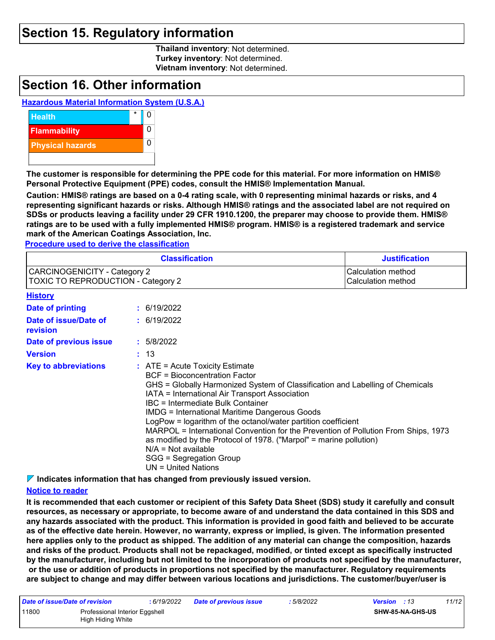### **Section 15. Regulatory information**

**Thailand inventory**: Not determined. **Turkey inventory**: Not determined. **Vietnam inventory**: Not determined.

### **Section 16. Other information**

#### **Hazardous Material Information System (U.S.A.)**



**The customer is responsible for determining the PPE code for this material. For more information on HMIS® Personal Protective Equipment (PPE) codes, consult the HMIS® Implementation Manual.**

**Caution: HMIS® ratings are based on a 0-4 rating scale, with 0 representing minimal hazards or risks, and 4 representing significant hazards or risks. Although HMIS® ratings and the associated label are not required on SDSs or products leaving a facility under 29 CFR 1910.1200, the preparer may choose to provide them. HMIS® ratings are to be used with a fully implemented HMIS® program. HMIS® is a registered trademark and service mark of the American Coatings Association, Inc.**

**Procedure used to derive the classification**

|                                                                           |  | <b>Classification</b>                                                                                                                                                                                                                                                                                                                                                                                                                                                                                                                                                                                                 | <b>Justification</b>                     |  |  |
|---------------------------------------------------------------------------|--|-----------------------------------------------------------------------------------------------------------------------------------------------------------------------------------------------------------------------------------------------------------------------------------------------------------------------------------------------------------------------------------------------------------------------------------------------------------------------------------------------------------------------------------------------------------------------------------------------------------------------|------------------------------------------|--|--|
| CARCINOGENICITY - Category 2<br><b>TOXIC TO REPRODUCTION - Category 2</b> |  |                                                                                                                                                                                                                                                                                                                                                                                                                                                                                                                                                                                                                       | Calculation method<br>Calculation method |  |  |
| <b>History</b>                                                            |  |                                                                                                                                                                                                                                                                                                                                                                                                                                                                                                                                                                                                                       |                                          |  |  |
| <b>Date of printing</b>                                                   |  | : 6/19/2022                                                                                                                                                                                                                                                                                                                                                                                                                                                                                                                                                                                                           |                                          |  |  |
| Date of issue/Date of<br>revision                                         |  | : 6/19/2022                                                                                                                                                                                                                                                                                                                                                                                                                                                                                                                                                                                                           |                                          |  |  |
| Date of previous issue                                                    |  | : 5/8/2022                                                                                                                                                                                                                                                                                                                                                                                                                                                                                                                                                                                                            |                                          |  |  |
| <b>Version</b>                                                            |  | : 13                                                                                                                                                                                                                                                                                                                                                                                                                                                                                                                                                                                                                  |                                          |  |  |
| <b>Key to abbreviations</b>                                               |  | $\therefore$ ATE = Acute Toxicity Estimate<br>BCF = Bioconcentration Factor<br>GHS = Globally Harmonized System of Classification and Labelling of Chemicals<br>IATA = International Air Transport Association<br>IBC = Intermediate Bulk Container<br><b>IMDG = International Maritime Dangerous Goods</b><br>LogPow = logarithm of the octanol/water partition coefficient<br>MARPOL = International Convention for the Prevention of Pollution From Ships, 1973<br>as modified by the Protocol of 1978. ("Marpol" = marine pollution)<br>$N/A = Not available$<br>SGG = Segregation Group<br>$UN = United Nations$ |                                          |  |  |

**Indicates information that has changed from previously issued version.**

#### **Notice to reader**

**It is recommended that each customer or recipient of this Safety Data Sheet (SDS) study it carefully and consult resources, as necessary or appropriate, to become aware of and understand the data contained in this SDS and any hazards associated with the product. This information is provided in good faith and believed to be accurate as of the effective date herein. However, no warranty, express or implied, is given. The information presented here applies only to the product as shipped. The addition of any material can change the composition, hazards and risks of the product. Products shall not be repackaged, modified, or tinted except as specifically instructed by the manufacturer, including but not limited to the incorporation of products not specified by the manufacturer, or the use or addition of products in proportions not specified by the manufacturer. Regulatory requirements are subject to change and may differ between various locations and jurisdictions. The customer/buyer/user is** 

| Date of issue/Date of revision |                                                     | : 6/19/2022 | Date of previous issue | : 5/8/2022 | <b>Version</b> : 13 |                         | 11/12 |
|--------------------------------|-----------------------------------------------------|-------------|------------------------|------------|---------------------|-------------------------|-------|
| 11800                          | Professional Interior Eggshell<br>High Hiding White |             |                        |            |                     | <b>SHW-85-NA-GHS-US</b> |       |